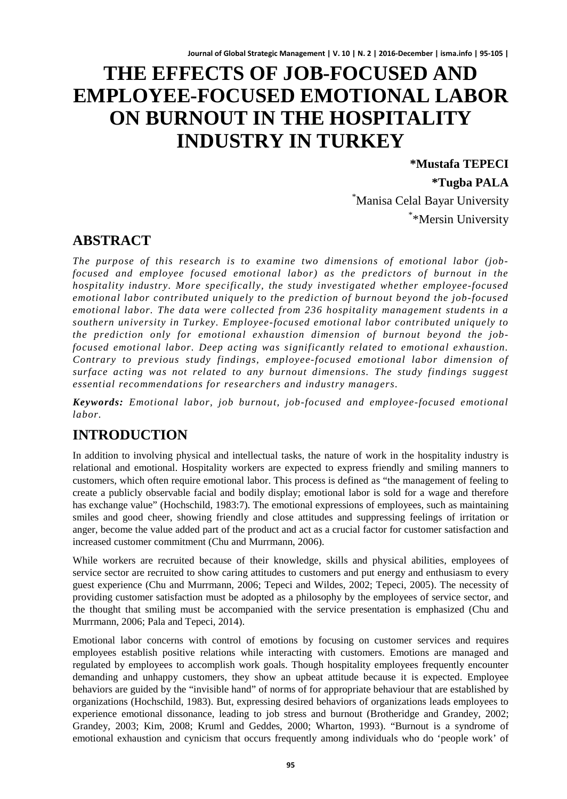# **THE EFFECTS OF JOB-FOCUSED AND EMPLOYEE-FOCUSED EMOTIONAL LABOR ON BURNOUT IN THE HOSPITALITY INDUSTRY IN TURKEY**

**\*Mustafa TEPECI \*Tugba PALA**  \* Manisa Celal Bayar University \* \*Mersin University

# **ABSTRACT**

*The purpose of this research is to examine two dimensions of emotional labor (jobfocused and employee focused emotional labor) as the predictors of burnout in the hospitality industry. More specifically, the study investigated whether employee-focused emotional labor contributed uniquely to the prediction of burnout beyond the job-focused emotional labor. The data were collected from 236 hospitality management students in a southern university in Turkey. Employee-focused emotional labor contributed uniquely to the prediction only for emotional exhaustion dimension of burnout beyond the jobfocused emotional labor. Deep acting was significantly related to emotional exhaustion. Contrary to previous study findings, employee-focused emotional labor dimension of surface acting was not related to any burnout dimensions. The study findings suggest essential recommendations for researchers and industry managers.*

*Keywords: Emotional labor, job burnout, job-focused and employee-focused emotional labor.*

# **INTRODUCTION**

In addition to involving physical and intellectual tasks, the nature of work in the hospitality industry is relational and emotional. Hospitality workers are expected to express friendly and smiling manners to customers, which often require emotional labor. This process is defined as "the management of feeling to create a publicly observable facial and bodily display; emotional labor is sold for a wage and therefore has exchange value" (Hochschild, 1983:7). The emotional expressions of employees, such as maintaining smiles and good cheer, showing friendly and close attitudes and suppressing feelings of irritation or anger, become the value added part of the product and act as a crucial factor for customer satisfaction and increased customer commitment (Chu and Murrmann, 2006).

While workers are recruited because of their knowledge, skills and physical abilities, employees of service sector are recruited to show caring attitudes to customers and put energy and enthusiasm to every guest experience (Chu and Murrmann, 2006; Tepeci and Wildes, 2002; Tepeci, 2005). The necessity of providing customer satisfaction must be adopted as a philosophy by the employees of service sector, and the thought that smiling must be accompanied with the service presentation is emphasized (Chu and Murrmann, 2006; Pala and Tepeci, 2014).

Emotional labor concerns with control of emotions by focusing on customer services and requires employees establish positive relations while interacting with customers. Emotions are managed and regulated by employees to accomplish work goals. Though hospitality employees frequently encounter demanding and unhappy customers, they show an upbeat attitude because it is expected. Employee behaviors are guided by the "invisible hand" of norms of for appropriate behaviour that are established by organizations (Hochschild, 1983). But, expressing desired behaviors of organizations leads employees to experience emotional dissonance, leading to job stress and burnout (Brotheridge and Grandey, 2002; Grandey, 2003; Kim, 2008; Kruml and Geddes, 2000; Wharton, 1993). "Burnout is a syndrome of emotional exhaustion and cynicism that occurs frequently among individuals who do 'people work' of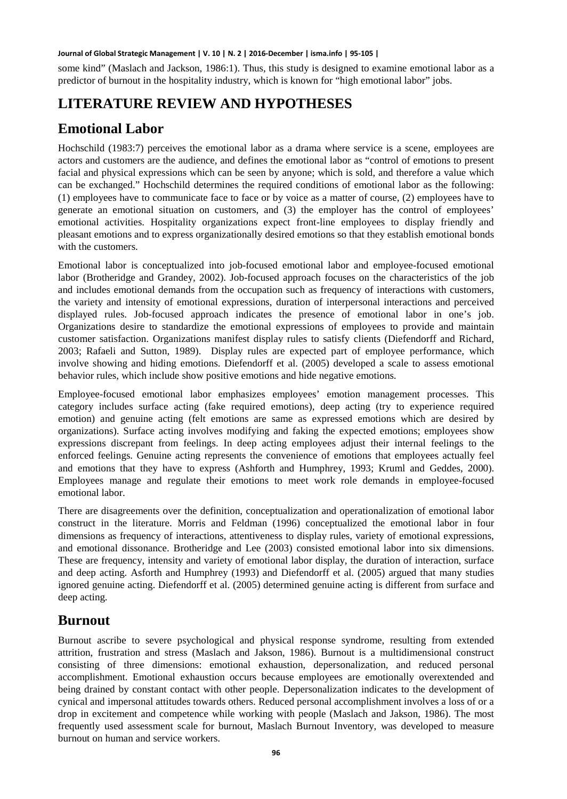some kind" (Maslach and Jackson, 1986:1). Thus, this study is designed to examine emotional labor as a predictor of burnout in the hospitality industry, which is known for "high emotional labor" jobs.

# **LITERATURE REVIEW AND HYPOTHESES**

# **Emotional Labor**

Hochschild (1983:7) perceives the emotional labor as a drama where service is a scene, employees are actors and customers are the audience, and defines the emotional labor as "control of emotions to present facial and physical expressions which can be seen by anyone; which is sold, and therefore a value which can be exchanged." Hochschild determines the required conditions of emotional labor as the following: (1) employees have to communicate face to face or by voice as a matter of course, (2) employees have to generate an emotional situation on customers, and (3) the employer has the control of employees' emotional activities. Hospitality organizations expect front-line employees to display friendly and pleasant emotions and to express organizationally desired emotions so that they establish emotional bonds with the customers.

Emotional labor is conceptualized into job-focused emotional labor and employee-focused emotional labor (Brotheridge and Grandey, 2002). Job-focused approach focuses on the characteristics of the job and includes emotional demands from the occupation such as frequency of interactions with customers, the variety and intensity of emotional expressions, duration of interpersonal interactions and perceived displayed rules. Job-focused approach indicates the presence of emotional labor in one's job. Organizations desire to standardize the emotional expressions of employees to provide and maintain customer satisfaction. Organizations manifest display rules to satisfy clients (Diefendorff and Richard, 2003; Rafaeli and Sutton, 1989). Display rules are expected part of employee performance, which involve showing and hiding emotions. Diefendorff et al. (2005) developed a scale to assess emotional behavior rules, which include show positive emotions and hide negative emotions.

Employee-focused emotional labor emphasizes employees' emotion management processes. This category includes surface acting (fake required emotions), deep acting (try to experience required emotion) and genuine acting (felt emotions are same as expressed emotions which are desired by organizations). Surface acting involves modifying and faking the expected emotions; employees show expressions discrepant from feelings. In deep acting employees adjust their internal feelings to the enforced feelings. Genuine acting represents the convenience of emotions that employees actually feel and emotions that they have to express (Ashforth and Humphrey, 1993; Kruml and Geddes, 2000). Employees manage and regulate their emotions to meet work role demands in employee-focused emotional labor.

There are disagreements over the definition, conceptualization and operationalization of emotional labor construct in the literature. Morris and Feldman (1996) conceptualized the emotional labor in four dimensions as frequency of interactions, attentiveness to display rules, variety of emotional expressions, and emotional dissonance. Brotheridge and Lee (2003) consisted emotional labor into six dimensions. These are frequency, intensity and variety of emotional labor display, the duration of interaction, surface and deep acting. Asforth and Humphrey (1993) and Diefendorff et al. (2005) argued that many studies ignored genuine acting. Diefendorff et al. (2005) determined genuine acting is different from surface and deep acting.

### **Burnout**

Burnout ascribe to severe psychological and physical response syndrome, resulting from extended attrition, frustration and stress (Maslach and Jakson, 1986). Burnout is a multidimensional construct consisting of three dimensions: emotional exhaustion, depersonalization, and reduced personal accomplishment. Emotional exhaustion occurs because employees are emotionally overextended and being drained by constant contact with other people. Depersonalization indicates to the development of cynical and impersonal attitudes towards others. Reduced personal accomplishment involves a loss of or a drop in excitement and competence while working with people (Maslach and Jakson, 1986). The most frequently used assessment scale for burnout, Maslach Burnout Inventory, was developed to measure burnout on human and service workers.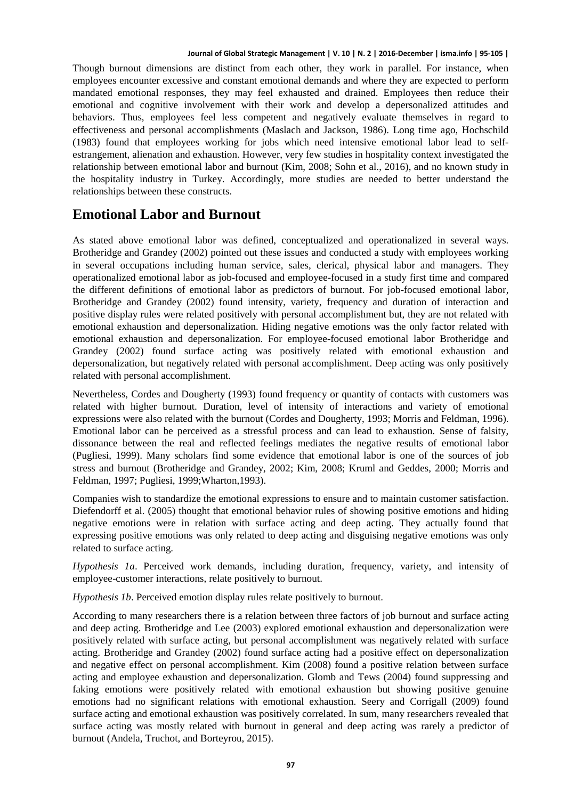Though burnout dimensions are distinct from each other, they work in parallel. For instance, when employees encounter excessive and constant emotional demands and where they are expected to perform mandated emotional responses, they may feel exhausted and drained. Employees then reduce their emotional and cognitive involvement with their work and develop a depersonalized attitudes and behaviors. Thus, employees feel less competent and negatively evaluate themselves in regard to effectiveness and personal accomplishments (Maslach and Jackson, 1986). Long time ago, Hochschild (1983) found that employees working for jobs which need intensive emotional labor lead to selfestrangement, alienation and exhaustion. However, very few studies in hospitality context investigated the relationship between emotional labor and burnout (Kim, 2008; Sohn et al., 2016), and no known study in the hospitality industry in Turkey. Accordingly, more studies are needed to better understand the relationships between these constructs.

#### **Emotional Labor and Burnout**

As stated above emotional labor was defined, conceptualized and operationalized in several ways. Brotheridge and Grandey (2002) pointed out these issues and conducted a study with employees working in several occupations including human service, sales, clerical, physical labor and managers. They operationalized emotional labor as job-focused and employee-focused in a study first time and compared the different definitions of emotional labor as predictors of burnout. For job-focused emotional labor, Brotheridge and Grandey (2002) found intensity, variety, frequency and duration of interaction and positive display rules were related positively with personal accomplishment but, they are not related with emotional exhaustion and depersonalization. Hiding negative emotions was the only factor related with emotional exhaustion and depersonalization. For employee-focused emotional labor Brotheridge and Grandey (2002) found surface acting was positively related with emotional exhaustion and depersonalization, but negatively related with personal accomplishment. Deep acting was only positively related with personal accomplishment.

Nevertheless, Cordes and Dougherty (1993) found frequency or quantity of contacts with customers was related with higher burnout. Duration, level of intensity of interactions and variety of emotional expressions were also related with the burnout (Cordes and Dougherty, 1993; Morris and Feldman, 1996). Emotional labor can be perceived as a stressful process and can lead to exhaustion. Sense of falsity, dissonance between the real and reflected feelings mediates the negative results of emotional labor (Pugliesi, 1999). Many scholars find some evidence that emotional labor is one of the sources of job stress and burnout (Brotheridge and Grandey, 2002; Kim, 2008; Kruml and Geddes, 2000; Morris and Feldman, 1997; Pugliesi, 1999;Wharton,1993).

Companies wish to standardize the emotional expressions to ensure and to maintain customer satisfaction. Diefendorff et al. (2005) thought that emotional behavior rules of showing positive emotions and hiding negative emotions were in relation with surface acting and deep acting. They actually found that expressing positive emotions was only related to deep acting and disguising negative emotions was only related to surface acting.

*Hypothesis 1a*. Perceived work demands, including duration, frequency, variety, and intensity of employee-customer interactions, relate positively to burnout.

*Hypothesis 1b*. Perceived emotion display rules relate positively to burnout.

According to many researchers there is a relation between three factors of job burnout and surface acting and deep acting. Brotheridge and Lee (2003) explored emotional exhaustion and depersonalization were positively related with surface acting, but personal accomplishment was negatively related with surface acting. Brotheridge and Grandey (2002) found surface acting had a positive effect on depersonalization and negative effect on personal accomplishment. Kim (2008) found a positive relation between surface acting and employee exhaustion and depersonalization. Glomb and Tews (2004) found suppressing and faking emotions were positively related with emotional exhaustion but showing positive genuine emotions had no significant relations with emotional exhaustion. Seery and Corrigall (2009) found surface acting and emotional exhaustion was positively correlated. In sum, many researchers revealed that surface acting was mostly related with burnout in general and deep acting was rarely a predictor of burnout (Andela, Truchot, and Borteyrou, 2015).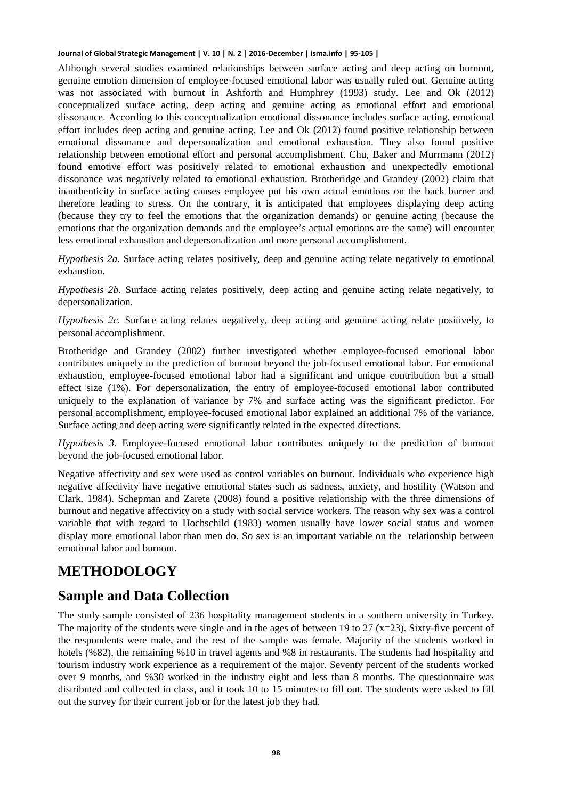Although several studies examined relationships between surface acting and deep acting on burnout, genuine emotion dimension of employee-focused emotional labor was usually ruled out. Genuine acting was not associated with burnout in Ashforth and Humphrey (1993) study. Lee and Ok (2012) conceptualized surface acting, deep acting and genuine acting as emotional effort and emotional dissonance. According to this conceptualization emotional dissonance includes surface acting, emotional effort includes deep acting and genuine acting. Lee and Ok (2012) found positive relationship between emotional dissonance and depersonalization and emotional exhaustion. They also found positive relationship between emotional effort and personal accomplishment. Chu, Baker and Murrmann (2012) found emotive effort was positively related to emotional exhaustion and unexpectedly emotional dissonance was negatively related to emotional exhaustion. Brotheridge and Grandey (2002) claim that inauthenticity in surface acting causes employee put his own actual emotions on the back burner and therefore leading to stress. On the contrary, it is anticipated that employees displaying deep acting (because they try to feel the emotions that the organization demands) or genuine acting (because the emotions that the organization demands and the employee's actual emotions are the same) will encounter less emotional exhaustion and depersonalization and more personal accomplishment.

*Hypothesis 2a.* Surface acting relates positively, deep and genuine acting relate negatively to emotional exhaustion.

*Hypothesis 2b.* Surface acting relates positively, deep acting and genuine acting relate negatively, to depersonalization.

*Hypothesis 2c.* Surface acting relates negatively, deep acting and genuine acting relate positively, to personal accomplishment.

Brotheridge and Grandey (2002) further investigated whether employee-focused emotional labor contributes uniquely to the prediction of burnout beyond the job-focused emotional labor. For emotional exhaustion, employee-focused emotional labor had a significant and unique contribution but a small effect size (1%). For depersonalization, the entry of employee-focused emotional labor contributed uniquely to the explanation of variance by 7% and surface acting was the significant predictor. For personal accomplishment, employee-focused emotional labor explained an additional 7% of the variance. Surface acting and deep acting were significantly related in the expected directions.

*Hypothesis 3.* Employee-focused emotional labor contributes uniquely to the prediction of burnout beyond the job-focused emotional labor.

Negative affectivity and sex were used as control variables on burnout. Individuals who experience high negative affectivity have negative emotional states such as sadness, anxiety, and hostility (Watson and Clark, 1984). Schepman and Zarete (2008) found a positive relationship with the three dimensions of burnout and negative affectivity on a study with social service workers. The reason why sex was a control variable that with regard to Hochschild (1983) women usually have lower social status and women display more emotional labor than men do. So sex is an important variable on the relationship between emotional labor and burnout.

# **METHODOLOGY**

### **Sample and Data Collection**

The study sample consisted of 236 hospitality management students in a southern university in Turkey. The majority of the students were single and in the ages of between 19 to 27 ( $x=23$ ). Sixty-five percent of the respondents were male, and the rest of the sample was female. Majority of the students worked in hotels (%82), the remaining %10 in travel agents and %8 in restaurants. The students had hospitality and tourism industry work experience as a requirement of the major. Seventy percent of the students worked over 9 months, and %30 worked in the industry eight and less than 8 months. The questionnaire was distributed and collected in class, and it took 10 to 15 minutes to fill out. The students were asked to fill out the survey for their current job or for the latest job they had.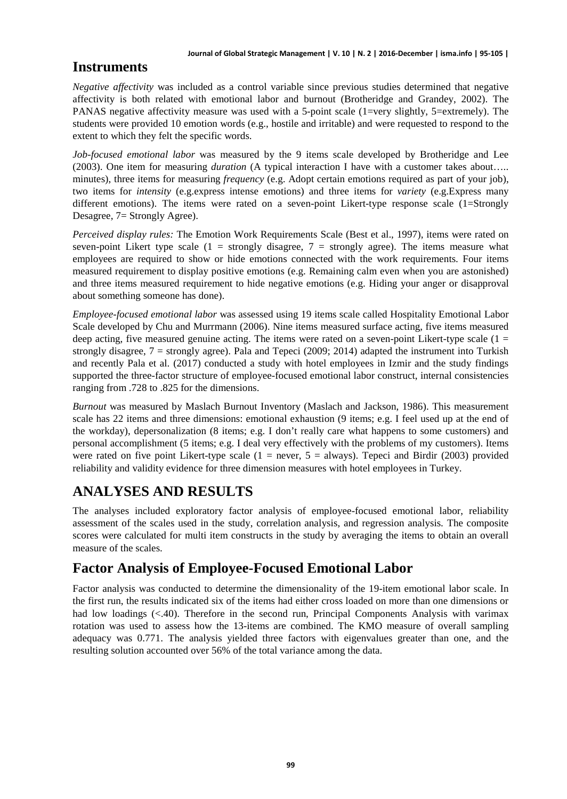### **Instruments**

*Negative affectivity* was included as a control variable since previous studies determined that negative affectivity is both related with emotional labor and burnout (Brotheridge and Grandey, 2002). The PANAS negative affectivity measure was used with a 5-point scale (1=very slightly, 5=extremely). The students were provided 10 emotion words (e.g., hostile and irritable) and were requested to respond to the extent to which they felt the specific words.

*Job-focused emotional labor* was measured by the 9 items scale developed by Brotheridge and Lee (2003). One item for measuring *duration* (A typical interaction I have with a customer takes about….. minutes), three items for measuring *frequency* (e.g. Adopt certain emotions required as part of your job), two items for *intensity* (e.g.express intense emotions) and three items for *variety* (e.g.Express many different emotions). The items were rated on a seven-point Likert-type response scale (1=Strongly Desagree, 7= Strongly Agree).

*Perceived display rules:* The Emotion Work Requirements Scale (Best et al., 1997), items were rated on seven-point Likert type scale  $(1 =$  strongly disagree,  $7 =$  strongly agree). The items measure what employees are required to show or hide emotions connected with the work requirements. Four items measured requirement to display positive emotions (e.g. Remaining calm even when you are astonished) and three items measured requirement to hide negative emotions (e.g. Hiding your anger or disapproval about something someone has done).

*Employee-focused emotional labor* was assessed using 19 items scale called Hospitality Emotional Labor Scale developed by Chu and Murrmann (2006). Nine items measured surface acting, five items measured deep acting, five measured genuine acting. The items were rated on a seven-point Likert-type scale  $(1 =$ strongly disagree,  $7 =$  strongly agree). Pala and Tepeci (2009; 2014) adapted the instrument into Turkish and recently Pala et al. (2017) conducted a study with hotel employees in Izmir and the study findings supported the three-factor structure of employee-focused emotional labor construct, internal consistencies ranging from .728 to .825 for the dimensions.

*Burnout* was measured by Maslach Burnout Inventory (Maslach and Jackson, 1986). This measurement scale has 22 items and three dimensions: emotional exhaustion (9 items; e.g. I feel used up at the end of the workday), depersonalization (8 items; e.g. I don't really care what happens to some customers) and personal accomplishment (5 items; e.g. I deal very effectively with the problems of my customers). Items were rated on five point Likert-type scale  $(1 = never, 5 = always)$ . Tepeci and Birdir (2003) provided reliability and validity evidence for three dimension measures with hotel employees in Turkey.

# **ANALYSES AND RESULTS**

The analyses included exploratory factor analysis of employee-focused emotional labor, reliability assessment of the scales used in the study, correlation analysis, and regression analysis. The composite scores were calculated for multi item constructs in the study by averaging the items to obtain an overall measure of the scales.

# **Factor Analysis of Employee-Focused Emotional Labor**

Factor analysis was conducted to determine the dimensionality of the 19-item emotional labor scale. In the first run, the results indicated six of the items had either cross loaded on more than one dimensions or had low loadings (<.40). Therefore in the second run, Principal Components Analysis with varimax rotation was used to assess how the 13-items are combined. The KMO measure of overall sampling adequacy was 0.771. The analysis yielded three factors with eigenvalues greater than one, and the resulting solution accounted over 56% of the total variance among the data.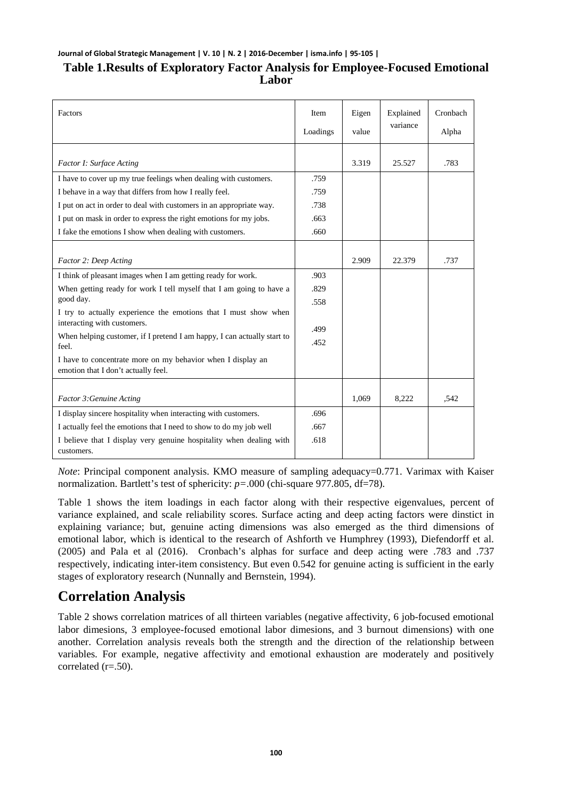#### **Table 1.Results of Exploratory Factor Analysis for Employee-Focused Emotional Labor**

| Factors                                                                                            | Item<br>Loadings | Eigen<br>value | Explained<br>variance | Cronbach<br>Alpha |
|----------------------------------------------------------------------------------------------------|------------------|----------------|-----------------------|-------------------|
| Factor I: Surface Acting                                                                           |                  | 3.319          | 25.527                | .783              |
| I have to cover up my true feelings when dealing with customers.                                   | .759             |                |                       |                   |
| I behave in a way that differs from how I really feel.                                             | .759             |                |                       |                   |
| I put on act in order to deal with customers in an appropriate way.                                | .738             |                |                       |                   |
| I put on mask in order to express the right emotions for my jobs.                                  | .663             |                |                       |                   |
| I fake the emotions I show when dealing with customers.                                            | .660             |                |                       |                   |
| Factor 2: Deep Acting                                                                              |                  | 2.909          | 22.379                | .737              |
| I think of pleasant images when I am getting ready for work.                                       | .903             |                |                       |                   |
| When getting ready for work I tell myself that I am going to have a<br>good day.                   | .829<br>.558     |                |                       |                   |
| I try to actually experience the emotions that I must show when<br>interacting with customers.     | .499             |                |                       |                   |
| When helping customer, if I pretend I am happy, I can actually start to<br>feel.                   | .452             |                |                       |                   |
| I have to concentrate more on my behavior when I display an<br>emotion that I don't actually feel. |                  |                |                       |                   |
| Factor 3: Genuine Acting                                                                           |                  | 1,069          | 8,222                 | .542              |
| I display sincere hospitality when interacting with customers.                                     | .696             |                |                       |                   |
| I actually feel the emotions that I need to show to do my job well                                 | .667             |                |                       |                   |
| I believe that I display very genuine hospitality when dealing with<br>customers.                  | .618             |                |                       |                   |

*Note*: Principal component analysis. KMO measure of sampling adequacy=0.771. Varimax with Kaiser normalization. Bartlett's test of sphericity:  $p = .000$  (chi-square 977.805, df=78).

Table 1 shows the item loadings in each factor along with their respective eigenvalues, percent of variance explained, and scale reliability scores. Surface acting and deep acting factors were dinstict in explaining variance; but, genuine acting dimensions was also emerged as the third dimensions of emotional labor, which is identical to the research of Ashforth ve Humphrey (1993), Diefendorff et al. (2005) and Pala et al (2016). Cronbach's alphas for surface and deep acting were .783 and .737 respectively, indicating inter-item consistency. But even 0.542 for genuine acting is sufficient in the early stages of exploratory research (Nunnally and Bernstein, 1994).

### **Correlation Analysis**

Table 2 shows correlation matrices of all thirteen variables (negative affectivity, 6 job-focused emotional labor dimesions, 3 employee-focused emotional labor dimesions, and 3 burnout dimensions) with one another. Correlation analysis reveals both the strength and the direction of the relationship between variables. For example, negative affectivity and emotional exhaustion are moderately and positively correlated (r=.50).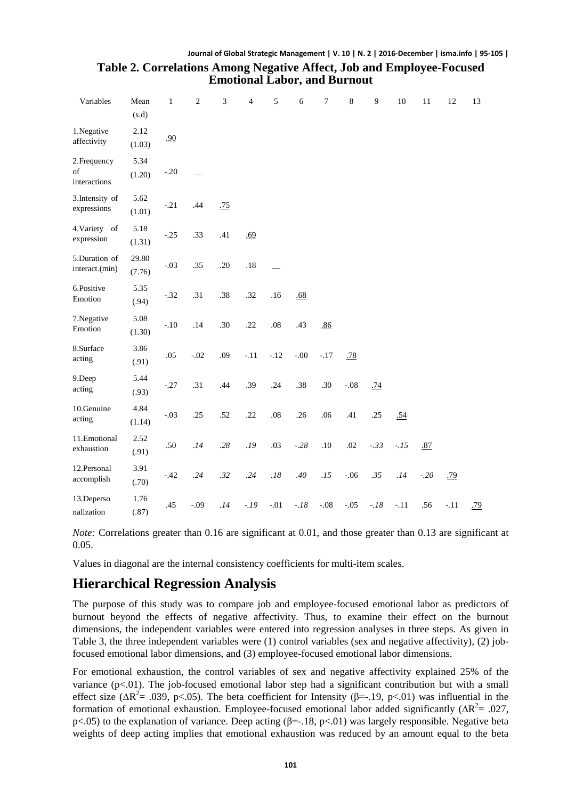#### **Journal of Global Strategic Management | V. 10 | N. 2 | 2016-December | isma.info | 95-105 | Table 2. Correlations Among Negative Affect, Job and Employee-Focused**

| relations Among regative Affect, Job and Employ |  |
|-------------------------------------------------|--|
| <b>Emotional Labor, and Burnout</b>             |  |

| Variables                          | Mean<br>(s.d)   | $\mathbf{1}$ | $\sqrt{2}$ | 3   | 4      | 5      | 6      | 7      | 8      | $\overline{9}$ | 10     | 11     | 12     | 13  |
|------------------------------------|-----------------|--------------|------------|-----|--------|--------|--------|--------|--------|----------------|--------|--------|--------|-----|
| 1.Negative<br>affectivity          | 2.12<br>(1.03)  | .90          |            |     |        |        |        |        |        |                |        |        |        |     |
| 2. Frequency<br>of<br>interactions | 5.34<br>(1.20)  | $-.20$       |            |     |        |        |        |        |        |                |        |        |        |     |
| 3. Intensity of<br>expressions     | 5.62<br>(1.01)  | $-.21$       | .44        | .75 |        |        |        |        |        |                |        |        |        |     |
| 4. Variety of<br>expression        | 5.18<br>(1.31)  | $-.25$       | .33        | .41 | .69    |        |        |        |        |                |        |        |        |     |
| 5.Duration of<br>interact.(min)    | 29.80<br>(7.76) | $-.03$       | .35        | .20 | .18    |        |        |        |        |                |        |        |        |     |
| 6.Positive<br>Emotion              | 5.35<br>(.94)   | $-.32$       | .31        | .38 | .32    | .16    | .68    |        |        |                |        |        |        |     |
| 7.Negative<br>Emotion              | 5.08<br>(1.30)  | $-.10$       | .14        | .30 | .22    | .08    | .43    | .86    |        |                |        |        |        |     |
| 8.Surface<br>acting                | 3.86<br>(.91)   | .05          | $-.02$     | .09 | $-.11$ | $-.12$ | $-.00$ | $-.17$ | .78    |                |        |        |        |     |
| 9.Deep<br>acting                   | 5.44<br>(.93)   | $-.27$       | .31        | .44 | .39    | .24    | .38    | .30    | $-.08$ | .74            |        |        |        |     |
| 10.Genuine<br>acting               | 4.84<br>(1.14)  | $-.03$       | .25        | .52 | .22    | .08    | .26    | .06    | .41    | .25            | .54    |        |        |     |
| 11.Emotional<br>exhaustion         | 2.52<br>(.91)   | .50          | .14        | .28 | .19    | .03    | $-.28$ | .10    | .02    | $-.33$         | $-.15$ | .87    |        |     |
| 12.Personal<br>accomplish          | 3.91<br>(.70)   | $-.42$       | .24        | .32 | .24    | .18    | .40    | .15    | $-.06$ | .35            | .14    | $-.20$ | .79    |     |
| 13.Deperso<br>nalization           | 1.76<br>(.87)   | .45          | $-.09$     | .14 | $-.19$ | $-.01$ | $-.18$ | $-.08$ | $-.05$ | $-.18$         | $-.11$ | .56    | $-.11$ | .79 |

*Note:* Correlations greater than 0.16 are significant at 0.01, and those greater than 0.13 are significant at 0.05.

Values in diagonal are the internal consistency coefficients for multi-item scales.

### **Hierarchical Regression Analysis**

The purpose of this study was to compare job and employee-focused emotional labor as predictors of burnout beyond the effects of negative affectivity. Thus, to examine their effect on the burnout dimensions, the independent variables were entered into regression analyses in three steps. As given in Table 3, the three independent variables were (1) control variables (sex and negative affectivity), (2) jobfocused emotional labor dimensions, and (3) employee-focused emotional labor dimensions.

For emotional exhaustion, the control variables of sex and negative affectivity explained 25% of the variance  $(p<.01)$ . The job-focused emotional labor step had a significant contribution but with a small effect size ( $\Delta R^2$ = .039, p<.05). The beta coefficient for Intensity ( $\beta$ =-.19, p<.01) was influential in the formation of emotional exhaustion. Employee-focused emotional labor added significantly ( $\Delta R^2$ = .027, p<.05) to the explanation of variance. Deep acting (β=-.18, p<.01) was largely responsible. Negative beta weights of deep acting implies that emotional exhaustion was reduced by an amount equal to the beta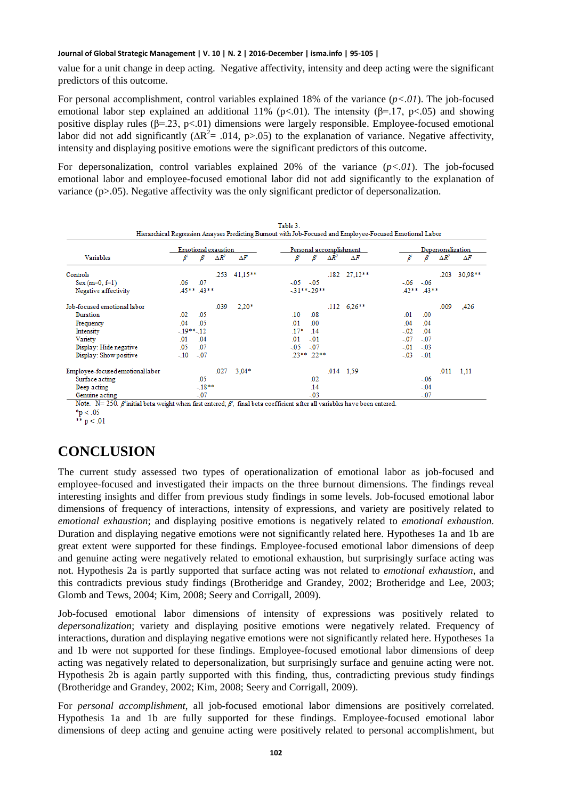value for a unit change in deep acting. Negative affectivity, intensity and deep acting were the significant predictors of this outcome.

For personal accomplishment, control variables explained 18% of the variance (*p<.01*). The job-focused emotional labor step explained an additional 11% (p<.01). The intensity ( $\beta$ =.17, p<.05) and showing positive display rules ( $\beta$ =.23, p<.01) dimensions were largely responsible. Employee-focused emotional labor did not add significantly ( $\Delta R^2$ = .014, p>.05) to the explanation of variance. Negative affectivity, intensity and displaying positive emotions were the significant predictors of this outcome.

For depersonalization, control variables explained 20% of the variance (*p<.01*). The job-focused emotional labor and employee-focused emotional labor did not add significantly to the explanation of variance  $(p>0.05)$ . Negative affectivity was the only significant predictor of depersonalization.

|                                  |                  |         | <b>Emotional exaustion</b> |            | Personal accomplishment | Depersonalization |              |                      |                  |         |              |            |
|----------------------------------|------------------|---------|----------------------------|------------|-------------------------|-------------------|--------------|----------------------|------------------|---------|--------------|------------|
| <b>Variables</b>                 | ß                | B       | $\Delta R^2$               | $\Delta F$ | B                       | B                 | $\Delta R^2$ | $\Delta F$           | B                | B       | $\Delta R^2$ | $\Delta F$ |
| Controls                         |                  |         | .253                       | $41,15***$ |                         |                   |              | $.182 \quad 27.12**$ |                  |         | .203         | $30.98**$  |
| $Sex(m=0, f=1)$                  | .06              | .07     |                            |            | $-05 - 05$              |                   |              |                      | $-06$            | $-06$   |              |            |
| Negative affectivity             | $.45***$ $.43**$ |         |                            |            |                         | $-31***-29**$     |              |                      | $.42***$ $.43**$ |         |              |            |
| Job-focused emotional labor      |                  |         | .039                       | $2.20*$    |                         |                   |              | $.112 \quad 6.26**$  |                  |         | .009         | ,426       |
| Duration                         | .02              | .05     |                            |            | .10 <sub>1</sub>        | .08               |              |                      | .01              | .00     |              |            |
| Frequency                        | .04              | .05     |                            |            | .01                     | .00 <sub>1</sub>  |              |                      | .04              | .04     |              |            |
| Intensity                        | $-19**-12$       |         |                            |            | $.17*$                  | .14               |              |                      | $-0.02$          | .04     |              |            |
| Variety                          | .01              | .04     |                            |            | .01                     | $-01$             |              |                      | $-0.07$          | $-07$   |              |            |
| Display: Hide negative           | .05              | .07     |                            |            | $-05$                   | $-07$             |              |                      | $-0.01$          | $-0.03$ |              |            |
| Display: Show positive           | $-.10$           | $-07$   |                            |            |                         | $.23***$ .22**    |              |                      | $-03$            | $-01$   |              |            |
| Employee-focused emotional labor |                  |         | .027                       | $3,04*$    |                         |                   |              | $.014$ 1.59          |                  |         | .011         | 1.11       |
| Surface acting                   |                  | .05     |                            |            |                         | .02               |              |                      |                  | $-0.06$ |              |            |
| Deep acting                      |                  | $-18**$ |                            |            |                         | .14               |              |                      |                  | $-.04$  |              |            |
| Genuine acting                   |                  | $-0.07$ |                            |            |                         | $-0.03$           |              |                      |                  | $-.07$  |              |            |

 $p < 0.05$ <br>\*\*  $p < 0.01$ 

# **CONCLUSION**

The current study assessed two types of operationalization of emotional labor as job-focused and employee-focused and investigated their impacts on the three burnout dimensions. The findings reveal interesting insights and differ from previous study findings in some levels. Job-focused emotional labor dimensions of frequency of interactions, intensity of expressions, and variety are positively related to *emotional exhaustion*; and displaying positive emotions is negatively related to *emotional exhaustion.*  Duration and displaying negative emotions were not significantly related here. Hypotheses 1a and 1b are great extent were supported for these findings. Employee-focused emotional labor dimensions of deep and genuine acting were negatively related to emotional exhaustion, but surprisingly surface acting was not. Hypothesis 2a is partly supported that surface acting was not related to *emotional exhaustion*, and this contradicts previous study findings (Brotheridge and Grandey, 2002; Brotheridge and Lee, 2003; Glomb and Tews, 2004; Kim, 2008; Seery and Corrigall, 2009).

Job-focused emotional labor dimensions of intensity of expressions was positively related to *depersonalization*; variety and displaying positive emotions were negatively related. Frequency of interactions, duration and displaying negative emotions were not significantly related here. Hypotheses 1a and 1b were not supported for these findings. Employee-focused emotional labor dimensions of deep acting was negatively related to depersonalization, but surprisingly surface and genuine acting were not. Hypothesis 2b is again partly supported with this finding, thus, contradicting previous study findings (Brotheridge and Grandey, 2002; Kim, 2008; Seery and Corrigall, 2009).

For *personal accomplishment*, all job-focused emotional labor dimensions are positively correlated. Hypothesis 1a and 1b are fully supported for these findings. Employee-focused emotional labor dimensions of deep acting and genuine acting were positively related to personal accomplishment, but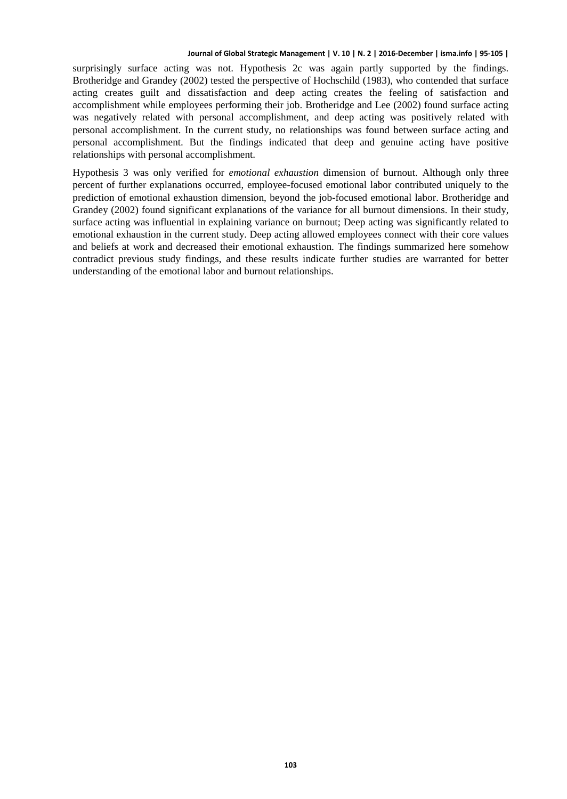surprisingly surface acting was not. Hypothesis 2c was again partly supported by the findings. Brotheridge and Grandey (2002) tested the perspective of Hochschild (1983), who contended that surface acting creates guilt and dissatisfaction and deep acting creates the feeling of satisfaction and accomplishment while employees performing their job. Brotheridge and Lee (2002) found surface acting was negatively related with personal accomplishment, and deep acting was positively related with personal accomplishment. In the current study, no relationships was found between surface acting and personal accomplishment. But the findings indicated that deep and genuine acting have positive relationships with personal accomplishment.

Hypothesis 3 was only verified for *emotional exhaustion* dimension of burnout. Although only three percent of further explanations occurred, employee-focused emotional labor contributed uniquely to the prediction of emotional exhaustion dimension, beyond the job-focused emotional labor. Brotheridge and Grandey (2002) found significant explanations of the variance for all burnout dimensions. In their study, surface acting was influential in explaining variance on burnout; Deep acting was significantly related to emotional exhaustion in the current study. Deep acting allowed employees connect with their core values and beliefs at work and decreased their emotional exhaustion. The findings summarized here somehow contradict previous study findings, and these results indicate further studies are warranted for better understanding of the emotional labor and burnout relationships.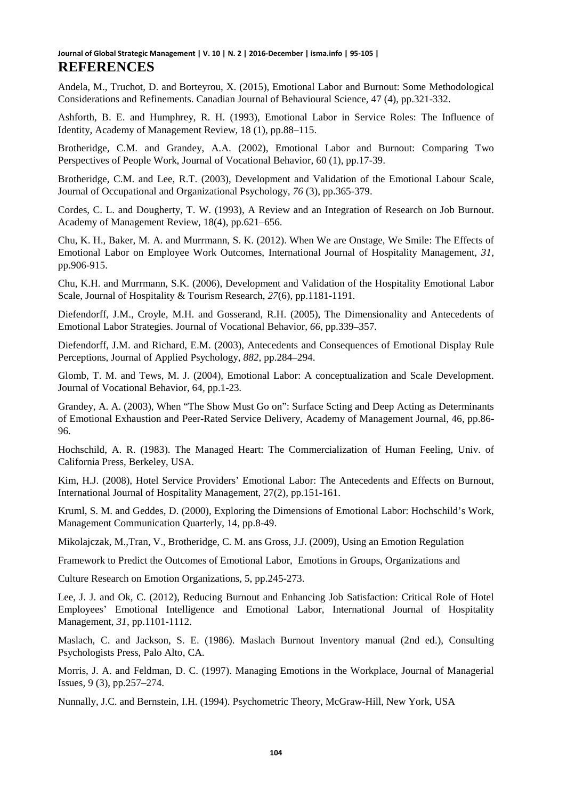Andela, M., Truchot, D. and Borteyrou, X. (2015), Emotional Labor and Burnout: Some Methodological Considerations and Refinements. Canadian Journal of Behavioural Science, 47 (4), pp.321-332.

Ashforth, B. E. and Humphrey, R. H. (1993), Emotional Labor in Service Roles: The Influence of Identity, Academy of Management Review*,* 18 (1), pp.88–115.

Brotheridge, C.M. and Grandey, A.A. (2002), Emotional Labor and Burnout: Comparing Two Perspectives of People Work, Journal of Vocational Behavior, 60 (1), pp.17-39.

Brotheridge, C.M. and Lee, R.T. (2003), Development and Validation of the Emotional Labour Scale, Journal of Occupational and Organizational Psychology*, 76* (3), pp.365-379.

Cordes, C. L. and Dougherty, T. W. (1993), A Review and an Integration of Research on Job Burnout. Academy of Management Review, 18(4), pp.621–656.

Chu, K. H., Baker, M. A. and Murrmann, S. K. (2012). When We are Onstage, We Smile: The Effects of Emotional Labor on Employee Work Outcomes, International Journal of Hospitality Management*, 31*, pp.906-915.

Chu, K.H. and Murrmann, S.K. (2006), Development and Validation of the Hospitality Emotional Labor Scale, Journal of Hospitality & Tourism Research, *27*(6), pp.1181-1191.

Diefendorff, J.M., Croyle, M.H. and Gosserand, R.H. (2005), The Dimensionality and Antecedents of Emotional Labor Strategies. Journal of Vocational Behavior, *66*, pp.339–357.

Diefendorff, J.M. and Richard, E.M. (2003), Antecedents and Consequences of Emotional Display Rule Perceptions, Journal of Applied Psychology, *882*, pp.284–294.

Glomb, T. M. and Tews, M. J. (2004), Emotional Labor: A conceptualization and Scale Development. Journal of Vocational Behavior, 64*,* pp.1-23*.*

Grandey, A. A. (2003), When "The Show Must Go on": Surface Scting and Deep Acting as Determinants of Emotional Exhaustion and Peer-Rated Service Delivery, Academy of Management Journal*,* 46, pp.86- 96.

Hochschild, A. R. (1983). The Managed Heart: The Commercialization of Human Feeling*,* Univ. of California Press, Berkeley, USA.

Kim, H.J. (2008), Hotel Service Providers' Emotional Labor: The Antecedents and Effects on Burnout, International Journal of Hospitality Management, 27(2), pp.151-161.

Kruml, S. M. and Geddes, D. (2000), Exploring the Dimensions of Emotional Labor: Hochschild's Work, Management Communication Quarterly, 14, pp.8-49.

Mikolajczak, M.,Tran, V., Brotheridge, C. M. ans Gross, J.J. (2009), Using an Emotion Regulation

Framework to Predict the Outcomes of Emotional Labor, Emotions in Groups, Organizations and

Culture Research on Emotion Organizations, 5, pp.245-273.

Lee, J. J. and Ok, C. (2012), Reducing Burnout and Enhancing Job Satisfaction: Critical Role of Hotel Employees' Emotional Intelligence and Emotional Labor, International Journal of Hospitality Management*, 31*, pp.1101-1112.

Maslach, C. and Jackson, S. E. (1986). Maslach Burnout Inventory manual (2nd ed.), Consulting Psychologists Press, Palo Alto, CA.

Morris, J. A. and Feldman, D. C. (1997). Managing Emotions in the Workplace, Journal of Managerial Issues*,* 9 (3), pp.257–274.

Nunnally, J.C. and Bernstein, I.H. (1994). Psychometric Theory, McGraw-Hill, New York, USA